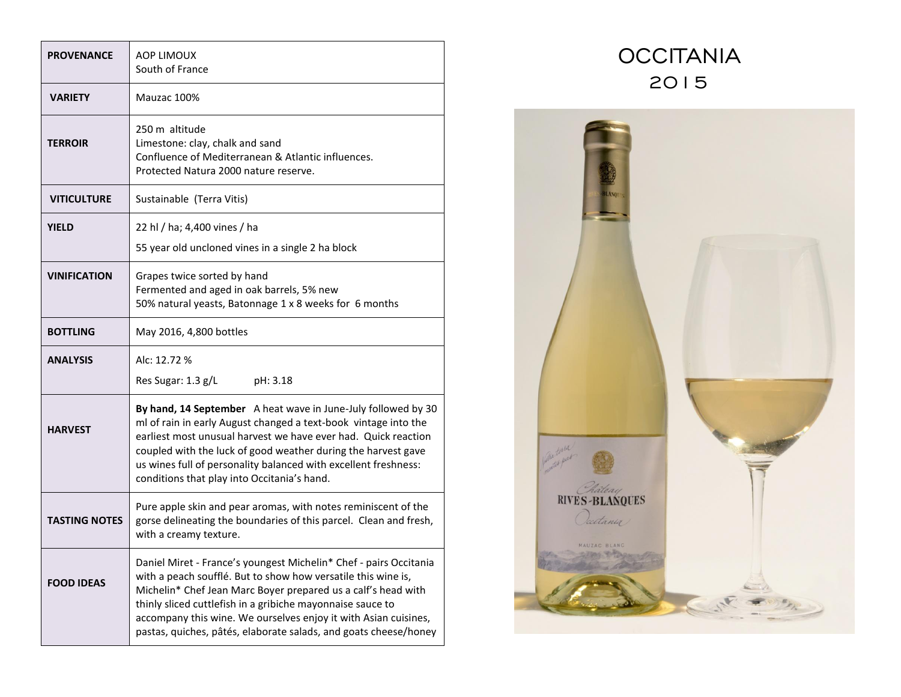| <b>PROVENANCE</b>    | <b>AOP LIMOUX</b><br>South of France                                                                                                                                                                                                                                                                                                                                                                     |
|----------------------|----------------------------------------------------------------------------------------------------------------------------------------------------------------------------------------------------------------------------------------------------------------------------------------------------------------------------------------------------------------------------------------------------------|
| <b>VARIETY</b>       | Mauzac 100%                                                                                                                                                                                                                                                                                                                                                                                              |
| TERROIR              | 250 m altitude<br>Limestone: clay, chalk and sand<br>Confluence of Mediterranean & Atlantic influences.<br>Protected Natura 2000 nature reserve.                                                                                                                                                                                                                                                         |
| <b>VITICULTURE</b>   | Sustainable (Terra Vitis)                                                                                                                                                                                                                                                                                                                                                                                |
| YIELD                | 22 hl / ha; 4,400 vines / ha<br>55 year old uncloned vines in a single 2 ha block                                                                                                                                                                                                                                                                                                                        |
| <b>VINIFICATION</b>  | Grapes twice sorted by hand<br>Fermented and aged in oak barrels, 5% new<br>50% natural yeasts, Batonnage 1 x 8 weeks for 6 months                                                                                                                                                                                                                                                                       |
| <b>BOTTLING</b>      | May 2016, 4,800 bottles                                                                                                                                                                                                                                                                                                                                                                                  |
| <b>ANALYSIS</b>      | Alc: 12.72 %<br>Res Sugar: 1.3 g/L<br>pH: 3.18                                                                                                                                                                                                                                                                                                                                                           |
| <b>HARVEST</b>       | By hand, 14 September A heat wave in June-July followed by 30<br>ml of rain in early August changed a text-book vintage into the<br>earliest most unusual harvest we have ever had. Quick reaction<br>coupled with the luck of good weather during the harvest gave<br>us wines full of personality balanced with excellent freshness:<br>conditions that play into Occitania's hand.                    |
| <b>TASTING NOTES</b> | Pure apple skin and pear aromas, with notes reminiscent of the<br>gorse delineating the boundaries of this parcel. Clean and fresh,<br>with a creamy texture.                                                                                                                                                                                                                                            |
| <b>FOOD IDEAS</b>    | Daniel Miret - France's youngest Michelin* Chef - pairs Occitania<br>with a peach soufflé. But to show how versatile this wine is,<br>Michelin* Chef Jean Marc Boyer prepared us a calf's head with<br>thinly sliced cuttlefish in a gribiche mayonnaise sauce to<br>accompany this wine. We ourselves enjoy it with Asian cuisines,<br>pastas, quiches, pâtés, elaborate salads, and goats cheese/honey |

## **OCCITANIA** 2015